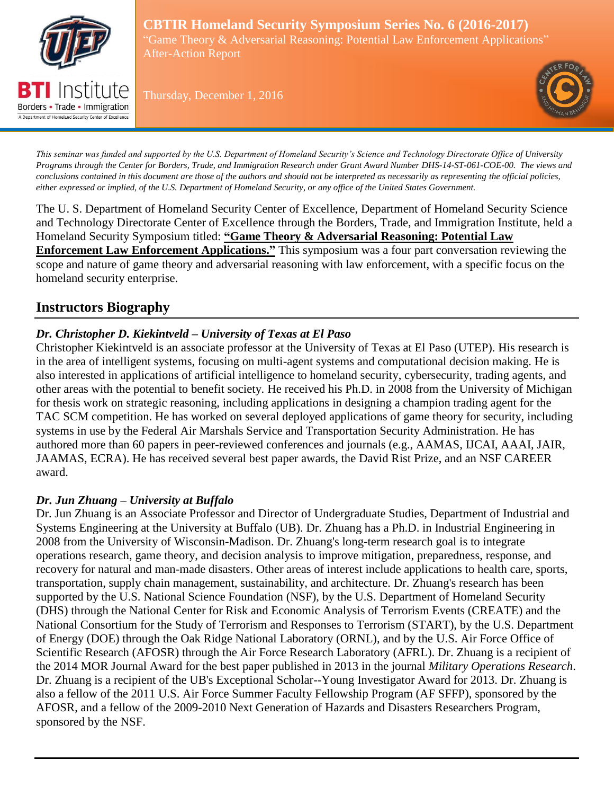

Borders • Trade • Immigration A Department of Homeland Security Center of Excellen

**CBTIR Homeland Security Symposium Series No. 6 (2016-2017)** "Game Theory & Adversarial Reasoning: Potential Law Enforcement Applications" After-Action Report

Thursday, December 1, 2016



*This seminar was funded and supported by the U.S. Department of Homeland Security's Science and Technology Directorate Office of University Programs through the Center for Borders, Trade, and Immigration Research under Grant Award Number DHS-14-ST-061-COE-00. The views and conclusions contained in this document are those of the authors and should not be interpreted as necessarily as representing the official policies, either expressed or implied, of the U.S. Department of Homeland Security, or any office of the United States Government.*

The U. S. Department of Homeland Security Center of Excellence, Department of Homeland Security Science and Technology Directorate Center of Excellence through the Borders, Trade, and Immigration Institute, held a Homeland Security Symposium titled: **"Game Theory & Adversarial Reasoning: Potential Law Enforcement Law Enforcement Applications."** This symposium was a four part conversation reviewing the scope and nature of game theory and adversarial reasoning with law enforcement, with a specific focus on the homeland security enterprise.

## **Instructors Biography**

### *Dr. Christopher D. Kiekintveld – University of Texas at El Paso*

Christopher Kiekintveld is an associate professor at the University of Texas at El Paso (UTEP). His research is in the area of intelligent systems, focusing on multi-agent systems and computational decision making. He is also interested in applications of artificial intelligence to homeland security, cybersecurity, trading agents, and other areas with the potential to benefit society. He received his Ph.D. in 2008 from the University of Michigan for thesis work on strategic reasoning, including applications in designing a champion trading agent for the TAC SCM competition. He has worked on several deployed applications of game theory for security, including systems in use by the Federal Air Marshals Service and Transportation Security Administration. He has authored more than 60 papers in peer-reviewed conferences and journals (e.g., AAMAS, IJCAI, AAAI, JAIR, JAAMAS, ECRA). He has received several best paper awards, the David Rist Prize, and an NSF CAREER award.

### *Dr. Jun Zhuang – University at Buffalo*

Dr. Jun Zhuang is an Associate Professor and Director of Undergraduate Studies, Department of Industrial and Systems Engineering at the University at Buffalo (UB). Dr. Zhuang has a Ph.D. in Industrial Engineering in 2008 from the University of Wisconsin-Madison. Dr. Zhuang's long-term research goal is to integrate operations research, game theory, and decision analysis to improve mitigation, preparedness, response, and recovery for natural and man-made disasters. Other areas of interest include applications to health care, sports, transportation, supply chain management, sustainability, and architecture. Dr. Zhuang's research has been supported by the U.S. National Science Foundation (NSF), by the U.S. Department of Homeland Security (DHS) through the National Center for Risk and Economic Analysis of Terrorism Events (CREATE) and the National Consortium for the Study of Terrorism and Responses to Terrorism (START), by the U.S. Department of Energy (DOE) through the Oak Ridge National Laboratory (ORNL), and by the U.S. Air Force Office of Scientific Research (AFOSR) through the Air Force Research Laboratory (AFRL). Dr. Zhuang is a recipient of the 2014 MOR Journal Award for the best paper published in 2013 in the journal *Military Operations Research*. Dr. Zhuang is a recipient of the UB's Exceptional Scholar--Young Investigator Award for 2013. Dr. Zhuang is also a fellow of the 2011 U.S. Air Force Summer Faculty Fellowship Program (AF SFFP), sponsored by the AFOSR, and a fellow of the 2009-2010 Next Generation of Hazards and Disasters Researchers Program, sponsored by the NSF.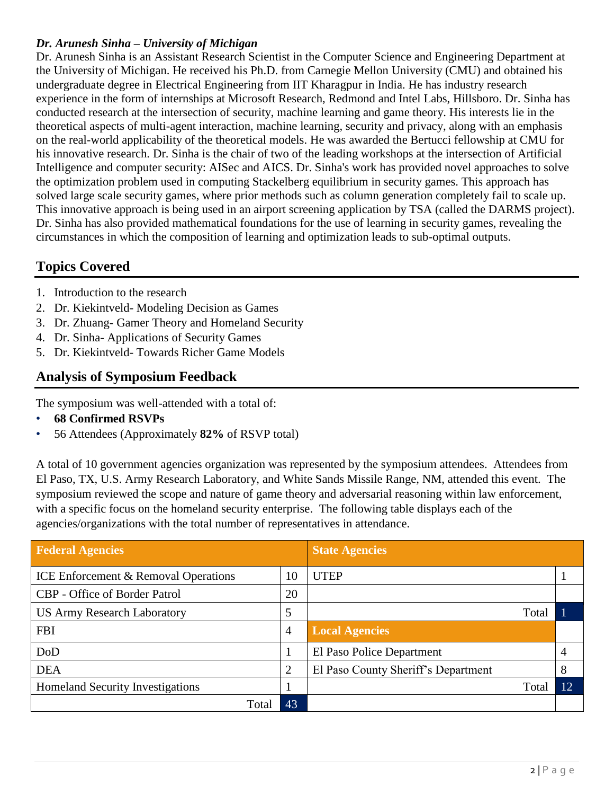#### *Dr. Arunesh Sinha – University of Michigan*

Dr. Arunesh Sinha is an Assistant Research Scientist in the Computer Science and Engineering Department at the University of Michigan. He received his Ph.D. from Carnegie Mellon University (CMU) and obtained his undergraduate degree in Electrical Engineering from IIT Kharagpur in India. He has industry research experience in the form of internships at Microsoft Research, Redmond and Intel Labs, Hillsboro. Dr. Sinha has conducted research at the intersection of security, machine learning and game theory. His interests lie in the theoretical aspects of multi-agent interaction, machine learning, security and privacy, along with an emphasis on the real-world applicability of the theoretical models. He was awarded the Bertucci fellowship at CMU for his innovative research. Dr. Sinha is the chair of two of the leading workshops at the intersection of Artificial Intelligence and computer security: AISec and AICS. Dr. Sinha's work has provided novel approaches to solve the optimization problem used in computing Stackelberg equilibrium in security games. This approach has solved large scale security games, where prior methods such as column generation completely fail to scale up. This innovative approach is being used in an airport screening application by TSA (called the DARMS project). Dr. Sinha has also provided mathematical foundations for the use of learning in security games, revealing the circumstances in which the composition of learning and optimization leads to sub-optimal outputs.

# **Topics Covered**

- 1. Introduction to the research
- 2. Dr. Kiekintveld- Modeling Decision as Games
- 3. Dr. Zhuang- Gamer Theory and Homeland Security
- 4. Dr. Sinha- Applications of Security Games
- 5. Dr. Kiekintveld- Towards Richer Game Models

# **Analysis of Symposium Feedback**

The symposium was well-attended with a total of:

- **68 Confirmed RSVPs**
- 56 Attendees (Approximately **82%** of RSVP total)

A total of 10 government agencies organization was represented by the symposium attendees. Attendees from El Paso, TX, U.S. Army Research Laboratory, and White Sands Missile Range, NM, attended this event. The symposium reviewed the scope and nature of game theory and adversarial reasoning within law enforcement, with a specific focus on the homeland security enterprise. The following table displays each of the agencies/organizations with the total number of representatives in attendance.

| <b>Federal Agencies</b>                         |                | <b>State Agencies</b>               |                |
|-------------------------------------------------|----------------|-------------------------------------|----------------|
| <b>ICE Enforcement &amp; Removal Operations</b> | 10             | <b>UTEP</b>                         |                |
| <b>CBP</b> - Office of Border Patrol            | 20             |                                     |                |
| <b>US Army Research Laboratory</b>              | 5              | Total                               |                |
| <b>FBI</b>                                      | $\overline{4}$ | <b>Local Agencies</b>               |                |
| DoD                                             | 1              | El Paso Police Department           | $\overline{4}$ |
| <b>DEA</b>                                      | 2              | El Paso County Sheriff's Department | 8              |
| <b>Homeland Security Investigations</b>         |                | Total                               | 12             |
| Total                                           | 43             |                                     |                |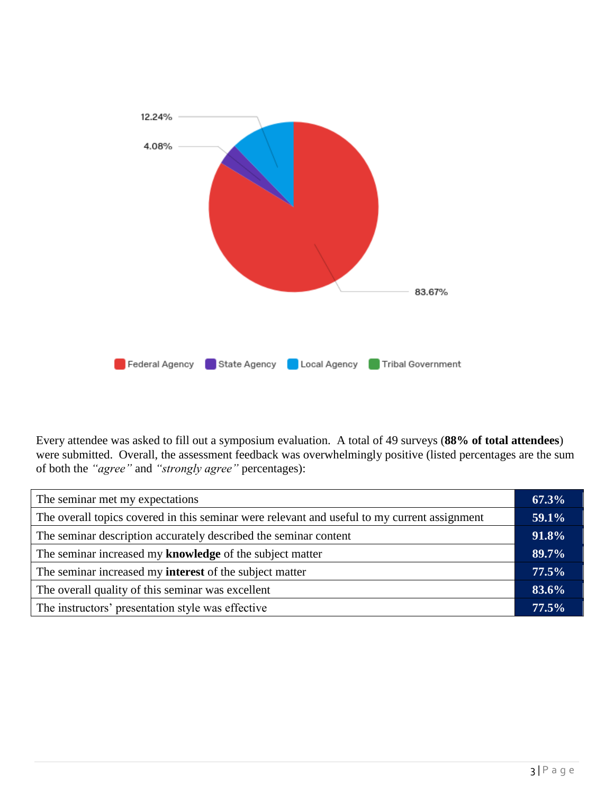

Every attendee was asked to fill out a symposium evaluation. A total of 49 surveys (**88% of total attendees**) were submitted. Overall, the assessment feedback was overwhelmingly positive (listed percentages are the sum of both the *"agree"* and *"strongly agree"* percentages):

| The seminar met my expectations                                                              |  |
|----------------------------------------------------------------------------------------------|--|
| The overall topics covered in this seminar were relevant and useful to my current assignment |  |
| The seminar description accurately described the seminar content                             |  |
| The seminar increased my knowledge of the subject matter                                     |  |
| The seminar increased my <b>interest</b> of the subject matter                               |  |
| The overall quality of this seminar was excellent                                            |  |
| The instructors' presentation style was effective                                            |  |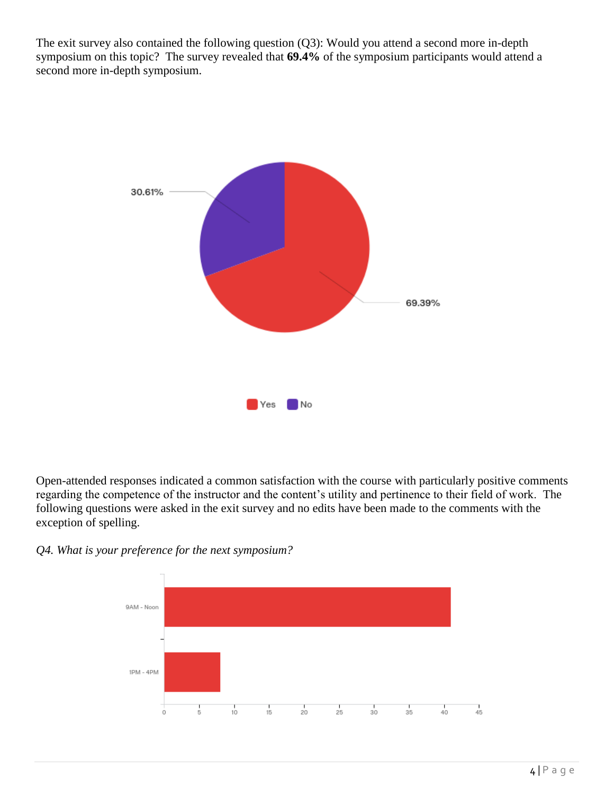The exit survey also contained the following question (Q3): Would you attend a second more in-depth symposium on this topic? The survey revealed that **69.4%** of the symposium participants would attend a second more in-depth symposium.



Open-attended responses indicated a common satisfaction with the course with particularly positive comments regarding the competence of the instructor and the content's utility and pertinence to their field of work. The following questions were asked in the exit survey and no edits have been made to the comments with the exception of spelling.

*Q4. What is your preference for the next symposium?*

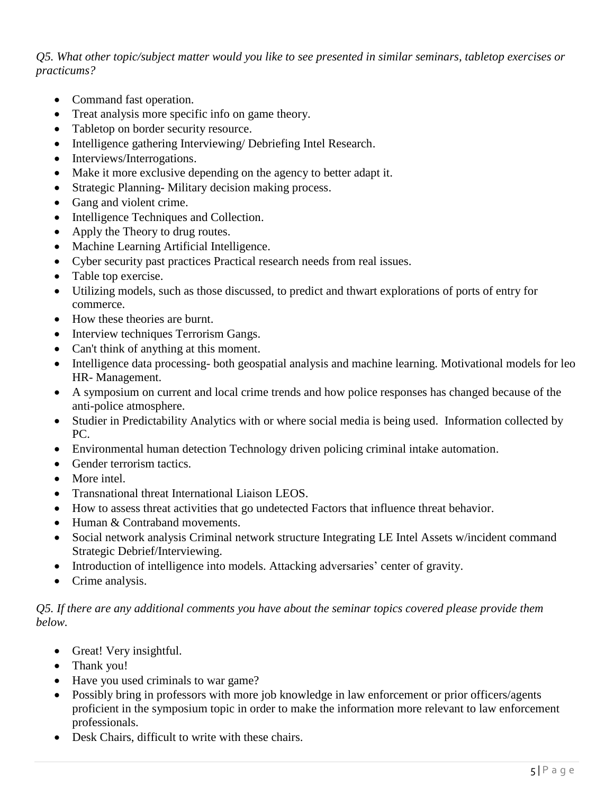*Q5. What other topic/subject matter would you like to see presented in similar seminars, tabletop exercises or practicums?*

- Command fast operation.
- Treat analysis more specific info on game theory.
- Tabletop on border security resource.
- Intelligence gathering Interviewing/ Debriefing Intel Research.
- Interviews/Interrogations.
- Make it more exclusive depending on the agency to better adapt it.
- Strategic Planning- Military decision making process.
- Gang and violent crime.
- Intelligence Techniques and Collection.
- Apply the Theory to drug routes.
- Machine Learning Artificial Intelligence.
- Cyber security past practices Practical research needs from real issues.
- Table top exercise.
- Utilizing models, such as those discussed, to predict and thwart explorations of ports of entry for commerce.
- How these theories are burnt.
- Interview techniques Terrorism Gangs.
- Can't think of anything at this moment.
- Intelligence data processing- both geospatial analysis and machine learning. Motivational models for leo HR- Management.
- A symposium on current and local crime trends and how police responses has changed because of the anti-police atmosphere.
- Studier in Predictability Analytics with or where social media is being used. Information collected by PC.
- Environmental human detection Technology driven policing criminal intake automation.
- Gender terrorism tactics.
- More intel.
- Transnational threat International Liaison LEOS.
- How to assess threat activities that go undetected Factors that influence threat behavior.
- Human & Contraband movements.
- Social network analysis Criminal network structure Integrating LE Intel Assets w/incident command Strategic Debrief/Interviewing.
- Introduction of intelligence into models. Attacking adversaries' center of gravity.
- Crime analysis.

#### *Q5. If there are any additional comments you have about the seminar topics covered please provide them below.*

- Great! Very insightful.
- Thank you!
- Have you used criminals to war game?
- Possibly bring in professors with more job knowledge in law enforcement or prior officers/agents proficient in the symposium topic in order to make the information more relevant to law enforcement professionals.
- Desk Chairs, difficult to write with these chairs.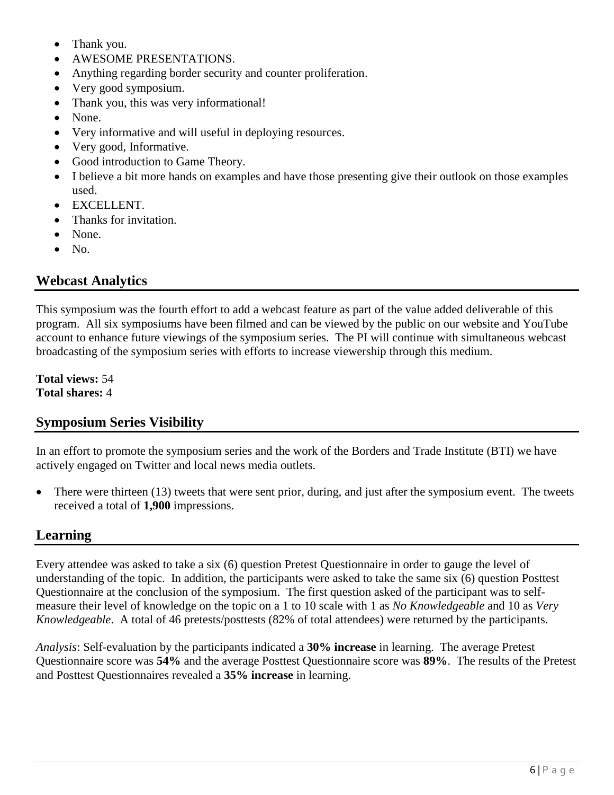- Thank you.
- AWESOME PRESENTATIONS.
- Anything regarding border security and counter proliferation.
- Very good symposium.
- Thank you, this was very informational!
- None.
- Very informative and will useful in deploying resources.
- Very good, Informative.
- Good introduction to Game Theory.
- I believe a bit more hands on examples and have those presenting give their outlook on those examples used.
- EXCELLENT.
- Thanks for invitation.
- None.
- No.

## **Webcast Analytics**

This symposium was the fourth effort to add a webcast feature as part of the value added deliverable of this program. All six symposiums have been filmed and can be viewed by the public on our website and YouTube account to enhance future viewings of the symposium series. The PI will continue with simultaneous webcast broadcasting of the symposium series with efforts to increase viewership through this medium.

**Total views:** 54 **Total shares:** 4

## **Symposium Series Visibility**

In an effort to promote the symposium series and the work of the Borders and Trade Institute (BTI) we have actively engaged on Twitter and local news media outlets.

• There were thirteen (13) tweets that were sent prior, during, and just after the symposium event. The tweets received a total of **1,900** impressions.

## **Learning**

Every attendee was asked to take a six (6) question Pretest Questionnaire in order to gauge the level of understanding of the topic. In addition, the participants were asked to take the same six (6) question Posttest Questionnaire at the conclusion of the symposium. The first question asked of the participant was to selfmeasure their level of knowledge on the topic on a 1 to 10 scale with 1 as *No Knowledgeable* and 10 as *Very Knowledgeable*. A total of 46 pretests/posttests (82% of total attendees) were returned by the participants.

*Analysis*: Self-evaluation by the participants indicated a **30% increase** in learning. The average Pretest Questionnaire score was **54%** and the average Posttest Questionnaire score was **89%**. The results of the Pretest and Posttest Questionnaires revealed a **35% increase** in learning.